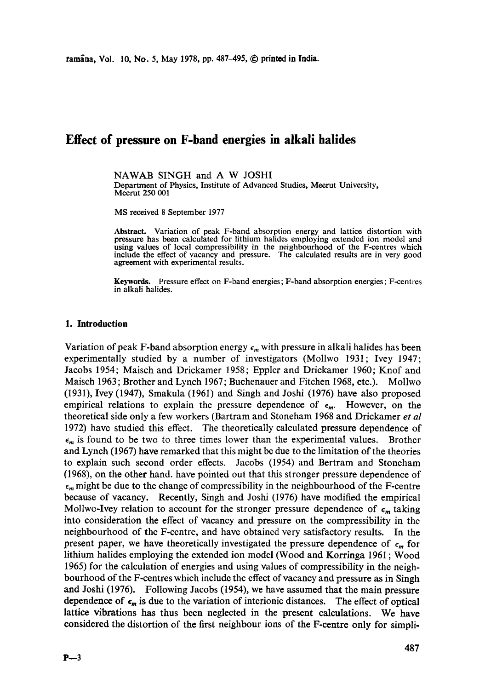# **Effect of pressure on F-band energies in alkali halides**

NAWAB SINGH and A W JOSHI Department of Physics, Institute of Advanced Studies, Meerut University, Meerut 250 001

MS received 8 September 1977

**Abstract.** Variation of peak F-band absorption energy and lattice distortion with pressure has been calculated for lithium halides employing extended ion model and using values of local compressibility in the neighbourhood of the F-centres which include the effect of vacancy and pressure. The calculated results are in very good agreement with experimental results.

**Keywords.** Pressure effect on F-band energies; F-band absorption energies; F-centres in alkali halides.

## **1. Introduction**

Variation of peak F-band absorption energy  $\epsilon_m$  with pressure in alkali halides has been experimentally studied by a number of investigators (Mollwo 1931; Ivey 1947; Jacobs 1954; Maisch and Drickamer 1958; Eppler and Drickamer 1960; Knof and Maisch 1963; Brother and Lynch 1967; Buchenauer and Fitchen 1968, etc.). Mollwo (1931), Ivey (1947), Smakula (1961) and Singh and Joshi (1976) have also proposed empirical relations to explain the pressure dependence of  $\epsilon_m$ . However, on the theoretical side only a few workers (Bartram and Stoneham 1968 and Drickamer *et al*  1972) have studied this effect. The theoretically calculated pressure dependence of  $\epsilon_m$  is found to be two to three times lower than the experimental values. Brother and Lynch (1967) have remarked that this might be due to the limitation of the theories to explain such second order effects. Jacobs (1954) and Bertram and Stoneham (1968), on the other hand. have pointed out that this stronger pressure dependence of  $\epsilon_m$  might be due to the change of compressibility in the neighbourhood of the F-centre because of vacancy. Recently, Singh and Joshi (1976) have modified the empirical Mollwo-Ivey relation to account for the stronger pressure dependence of  $\epsilon_m$  taking into consideration the effect of vacancy and pressure on the compressibility in the neighbourhood of the F-centre, and have obtained very satisfactory results. In the present paper, we have theoretically investigated the pressure dependence of  $\epsilon_m$  for lithium halides employing the extended ion model (Wood and Korringa 1961 ; Wood 1965) for the calculation of energies and using values of compressibility in the neighbourhood of the F-centres which include the effect of vacancy and pressure as in Singh and Joshi (1976). Following Jacobs (1954), we have assumed that the main pressure dependence of  $\epsilon_m$  is due to the variation of interionic distances. The effect of optical lattice vibrations has thus been neglected in the present calculations. We have considered the distortion of the first neighbour ions of the F-centre only for simpli-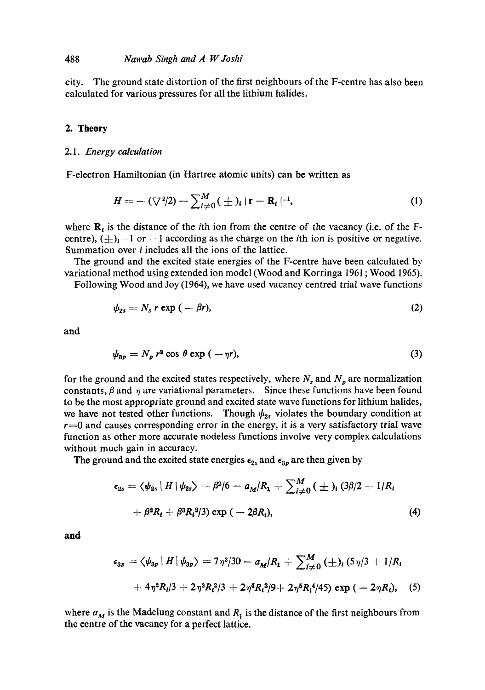## 488 *Nawab Singh and A W" Joshi*

city. The ground state distortion of the first neighbours of the F-centre has also been calculated for various pressures for all the lithium halides.

#### **2. Theory**

## 2.1. *Energy calculation*

F-electron Hamiltonian (in Hartree atomic units) can be written as

$$
H = -(\nabla^2/2) - \sum_{i \neq 0}^{M} (\pm)_i |\mathbf{r} - \mathbf{R}_i|^{-1}, \tag{1}
$$

where  $\mathbf{R}_i$  is the distance of the *i*th ion from the centre of the vacancy (i.e. of the Fcentre),  $(\pm)_{i}=1$  or  $-1$  according as the charge on the *i*th ion is positive or negative. Summation over i includes all the ions of the lattice.

The ground and the excited state energies of the F-centre have been calculated by variational method using extended ion model (Wood and Korringa 1961 ; Wood 1965).

Following Wood and Joy (1964), we have used vacancy centred trial wave functions

$$
\psi_{2s} = N_s r \exp(-\beta r), \tag{2}
$$

and

$$
\psi_{3p} = N_p r^2 \cos \theta \exp (-\eta r), \qquad (3)
$$

for the ground and the excited states respectively, where  $N_s$  and  $N_p$  are normalization constants,  $\beta$  and  $\eta$  are variational parameters. Since these functions have been found to be the most appropriate ground and excited state wave functions for lithium halides, we have not tested other functions. Though  $\psi_{2s}$  violates the boundary condition at  $r=0$  and causes corresponding error in the energy, it is a very satisfactory trial wave function as other more accurate nodeless functions involve very complex calculations without much gain in accuracy.

The ground and the excited state energies  $\epsilon_{2s}$  and  $\epsilon_{3p}$  are then given by

$$
\epsilon_{2s} = \langle \psi_{2s} | H | \psi_{2s} \rangle = \beta^2 / 6 - a_M / R_1 + \sum_{i \neq 0}^M (\pm)_i (3\beta / 2 + 1/R_i + \beta^2 R_i + \beta^3 R_i^2 / 3) \exp(-2\beta R_i), \tag{4}
$$

and

$$
\epsilon_{3p} = \langle \psi_{3p} | H | \psi_{3p} \rangle = 7\eta^3/30 - a_M/R_1 + \sum_{i \neq 0}^M (\pm)_i (5\eta/3 + 1/R_i
$$
  
+  $4\eta^2 R_i/3 + 2\eta^3 R_i^2/3 + 2\eta^4 R_i^3/9 + 2\eta^5 R_i^4/45) \exp(-2\eta R_i),$  (5)

where  $a_M$  is the Madelung constant and  $R_1$  is the distance of the first neighbours from the centre of the vacancy for a perfect lattice.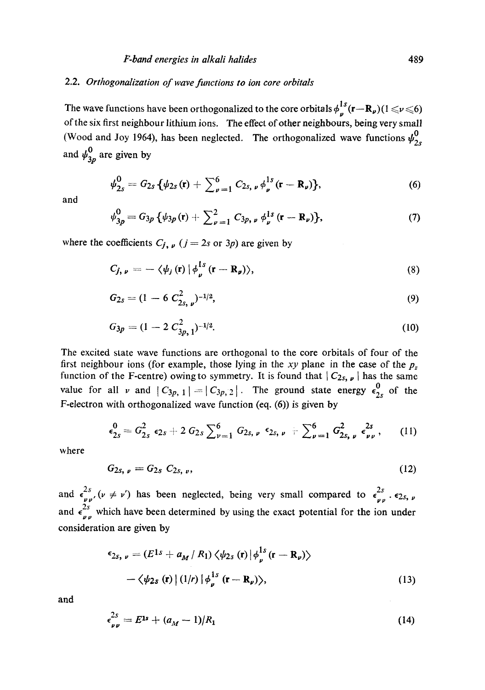## 2.2. *Orthogonalization of wave functions to ion core orbitals*

The wave functions have been orthogonalized to the core orbitals  $\phi_n^{1s}(\mathbf{r}-\mathbf{R}_p)(1 \leq \nu \leq 6)$ of the six first neighbour lithium ions. The effect of other neighbours, being very small (Wood and Joy 1964), has been neglected. The orthogonalized wave functions  $\psi_{2s}^0$ and  $\psi_{3p}^0$  are given by

$$
\psi_{2s}^{0} = G_{2s} \{ \psi_{2s}(\mathbf{r}) + \sum_{\nu=1}^{6} C_{2s,\nu} \phi_{\nu}^{1s}(\mathbf{r} - \mathbf{R}_{\nu}) \},
$$
(6)

and

$$
\psi_{3p}^{0} = G_{3p} \{ \psi_{3p}(\mathbf{r}) + \sum_{\nu=1}^{2} C_{3p,\nu} \phi_{\nu}^{1s}(\mathbf{r} - \mathbf{R}_{\nu}) \},
$$
 (7)

where the coefficients  $C_j$ ,  $\mathbf{v}$  ( $j = 2s$  or 3p) are given by

$$
C_{j, \nu} = -\langle \psi_j(\mathbf{r}) | \phi_{\nu}^{\text{ls}}(\mathbf{r} - \mathbf{R}_{\nu}) \rangle, \tag{8}
$$

$$
G_{2s} = (1 - 6 C_{2s, \nu}^2)^{-1/2}, \tag{9}
$$

$$
G_{3p} = (1 - 2 C_{3p,1}^2)^{-1/2}.
$$
 (10)

The excited state wave functions are orthogonal to the core orbitals of four of the first neighbour ions (for example, those lying in the *xy* plane in the case of the  $p_z$ function of the F-centre) owing to symmetry. It is found that  $|C_{2s, \nu}|$  has the same value for all v and  $|C_{3p, 1}| = |C_{3p, 2}|$ . The ground state energy  $\epsilon_{2s}^0$  of the F-electron with orthogonalized wave function (eq, (6)) is given by

$$
\epsilon_{2s}^{0} = G_{2s}^{2} \epsilon_{2s} + 2 G_{2s} \sum_{\nu=1}^{6} G_{2s,\nu} \epsilon_{2s,\nu} + \sum_{\nu=1}^{6} G_{2s,\nu}^{2} \epsilon_{\nu\nu}^{2s}, \qquad (11)
$$

where

$$
G_{2s, \nu} = G_{2s} C_{2s, \nu}, \tag{12}
$$

and  $\epsilon_{\nu \nu}^{2s}$ ,  $(\nu \neq \nu')$  has been neglected, being very small compared to  $\epsilon_{\nu \nu}^{2s}$ ,  $\epsilon_{2s}$ ,  $\nu$ and  $\epsilon_{\nu}^{\text{eq}}$ , which have been determined by using the exact potential for the ion under consideration are given by

$$
\epsilon_{2s, \nu} = (E^{1s} + a_M / R_1) \langle \psi_{2s} (\mathbf{r}) | \phi_{\nu}^{1s} (\mathbf{r} - \mathbf{R}_{\nu}) \rangle \n- \langle \psi_{2s} (\mathbf{r}) | (1/r) | \phi_{\nu}^{1s} (\mathbf{r} - \mathbf{R}_{\nu}) \rangle,
$$
\n(13)

and

$$
\epsilon_{\nu\nu}^{2s} = E^{1s} + (a_M - 1)/R_1 \tag{14}
$$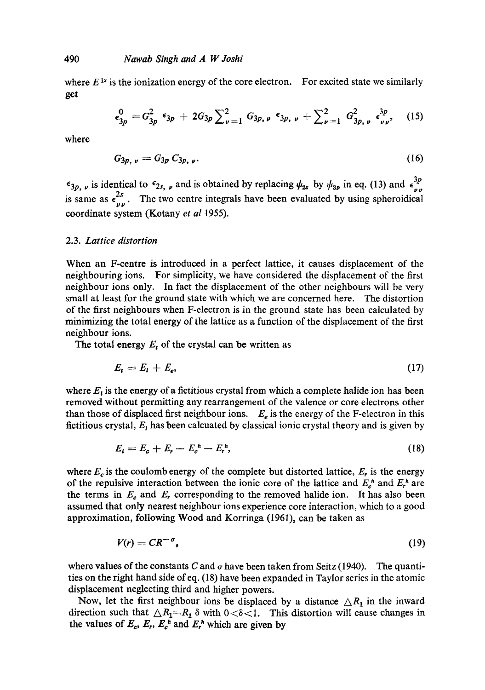where  $E^{1s}$  is the ionization energy of the core electron. For excited state we similarly get

$$
\epsilon_{3p}^0 = G_{3p}^2 \epsilon_{3p} + 2G_{3p} \sum_{\nu=1}^2 G_{3p,\nu} \epsilon_{3p,\nu} + \sum_{\nu=1}^2 G_{3p,\nu}^2 \epsilon_{\nu\nu}^{3p}, \quad (15)
$$

where

$$
G_{3p, \nu} = G_{3p} C_{3p, \nu}.
$$
 (16)

 $\epsilon_{3p, \nu}$  is identical to  $\epsilon_{2s, \nu}$  and is obtained by replacing  $\psi_{2s}$  by  $\psi_{3p}$  in eq. (13) and  $\epsilon_{\nu}^{3p}$ is same as  $\epsilon_{\nu \nu}^{2s}$ . The two centre integrals have been evaluated by using spheroidical coordinate system (Kotany *et al* 1955).

## 2.3. *Lattice distortion*

When an F-centre is introduced in a perfect lattice, it causes displacement of the neighbouring ions. For simplicity, we have considered the displacement of the first neighbour ions only. In fact the displacement of the other neighbours will be very small at least for the ground state with which we are concerned here. The distortion of the first neighbours when F-electron is in the ground state has been calculated by minimizing the total energy of the lattice as a function of the displacement of the first neighbour ions.

The total energy  $E_t$  of the crystal can be written as

$$
E_t = E_t + E_e, \tag{17}
$$

where  $E_t$  is the energy of a fictitious crystal from which a complete halide ion has been removed without permitting any rearrangement of the valence or core electrons other than those of displaced first neighbour ions.  $E_e$  is the energy of the F-electron in this fictitious crystal,  $E<sub>t</sub>$  has been calcuated by classical ionic crystal theory and is given by

$$
E_t = E_c + E_r - E_c^h - E_r^h, \tag{18}
$$

where  $E_c$  is the coulomb energy of the complete but distorted lattice,  $E_r$  is the energy of the repulsive interaction between the ionic core of the lattice and  $E_c^h$  and  $E_r^h$  are the terms in  $E_c$  and  $E_r$  corresponding to the removed halide ion. It has also been assumed that only nearest neighbour ions experience core interaction, which to a good approximation, following Wood and Korringa (1961), can be taken as

$$
V(r) = CR^{-\sigma},\tag{19}
$$

where values of the constants C and  $\sigma$  have been taken from Seitz (1940). The quantities on the right hand side of eq. (18) have been expanded in Taylor series in the atomic displacement neglecting third and higher powers.

Now, let the first neighbour ions be displaced by a distance  $\triangle R_1$  in the inward direction such that  $\Delta R_1 = R_1 \delta$  with  $0 < \delta < 1$ . This distortion will cause changes in the values of  $E_c$ ,  $E_r$ ,  $E_c^h$  and  $E_r^h$  which are given by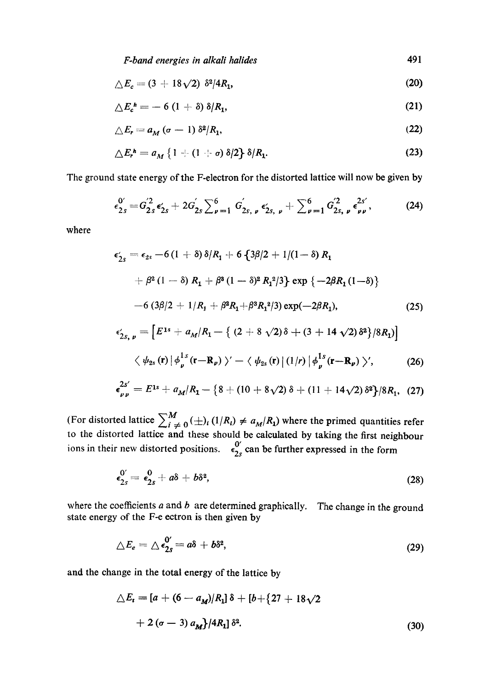*F-band energies in alkali halides*  491

$$
\Delta E_c = (3 + 18\sqrt{2}) \, \delta^2/4R_1,\tag{20}
$$

$$
\Delta E_c^{\ h} = -6 (1+\delta) \delta / R_1, \qquad (21)
$$

$$
\triangle E_r = a_M \left( \sigma - 1 \right) \delta^2 / R_1, \tag{22}
$$

$$
\Delta E_r^h = a_M \left\{ 1 + (1 + \sigma) \, \delta/2 \right\} \, \delta/R_1. \tag{23}
$$

The ground state energy of the F-electron for the distorted lattice will now be given by

$$
\epsilon_{2s}^{0'} = G_{2s}^{2} \epsilon_{2s} + 2G_{2s}' \sum_{\nu=1}^{6} G_{2s,\nu}^{'} \epsilon_{2s,\nu} + \sum_{\nu=1}^{6} G_{2s,\nu}^{2} \epsilon_{\nu\nu}^{2s'},
$$
 (24)

where

$$
\epsilon'_{2s} = \epsilon_{2s} - 6(1 + \delta)\delta/R_1 + 6\{3\beta/2 + 1/(1 - \delta) R_1
$$
  
+  $\beta^2 (1 - \delta) R_1 + \beta^3 (1 - \delta)^2 R_1^2/3\} \exp \{-2\beta R_1 (1 - \delta)\}$   
-  $6(3\beta/2 + 1/R_1 + \beta^2 R_1 + \beta^3 R_1^2/3) \exp(-2\beta R_1),$  (25)  

$$
\epsilon'_{2s, \nu} = \left[E^{1s} + a_M/R_1 - \{(2 + 8\sqrt{2})\delta + (3 + 14\sqrt{2})\delta^2\}/8R_1\right]
$$

$$
\langle \psi_{2s}(\mathbf{r}) | \phi_{\nu}^{1s}(\mathbf{r}-\mathbf{R}_{\nu}) \rangle' - \langle \psi_{2s}(\mathbf{r}) | (1/r) | \phi_{\nu}^{1s}(\mathbf{r}-\mathbf{R}_{\nu}) \rangle', \qquad (26)
$$

$$
\epsilon_{\mu\mu}^{2s'} = E^{1s} + a_M/R_1 - \left\{8 + (10 + 8\sqrt{2})\,\delta + (11 + 14\sqrt{2})\,\delta^2\right\}/8R_1, \tag{27}
$$

(For distorted lattice  $\sum_{i=0}^{\infty} (+\frac{1}{R_i}) (1/R_i) \neq a_M/R_1$ ) where the primed quantities refer to the distorted lattice and these should be calculated by taking the first neighbour ions in their new distorted positions.  $\epsilon_{2s}^{0'}$  can be further expressed in the form

$$
\epsilon_{2s}^{0'}=\epsilon_{2s}^0+a\delta+b\delta^2,\qquad \qquad (28)
$$

where the coefficients  $a$  and  $b$  are determined graphically. The change in the ground state energy of the F-e ectron is then given by

$$
\triangle E_e = \triangle \epsilon_{2s}^{0'} = a\delta + b\delta^2, \tag{29}
$$

and the change in the total energy of the lattice by

$$
\Delta E_t = [a + (6 - a_M)/R_1] \delta + [b + (27 + 18\sqrt{2} + 2(\sigma - 3) a_M]/4R_1] \delta^2.
$$
\n(30)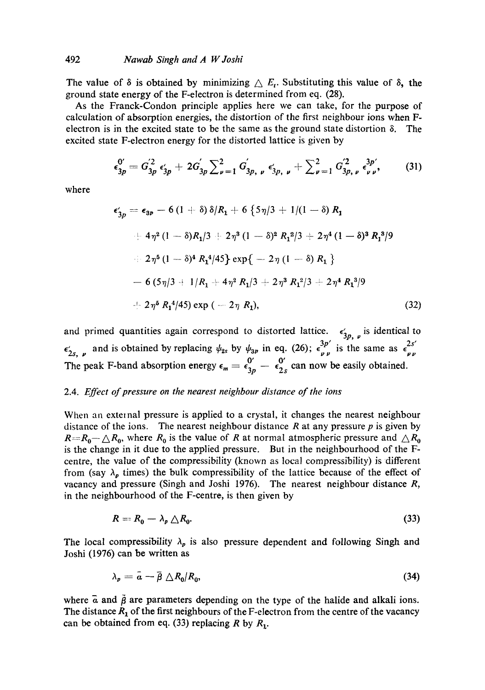## 492 *Nawab Singh and A W Joshi*

The value of  $\delta$  is obtained by minimizing  $\Delta E_t$ . Substituting this value of  $\delta$ , the ground state energy of the F-electron is determined from eq. (28).

As the Franck-Condon principle applies here we can take, for the purpose of calculation of absorption energies, the distortion of the first neighbour ions when Felectron is in the excited state to be the same as the ground state distortion  $\delta$ . The excited state F-electron energy for the distorted lattice is given by

$$
\epsilon_{3p}^{0'} = G_{3p}^{2} \epsilon_{3p}'+ 2G_{3p}' \sum_{\nu=1}^{2} G_{3p,\nu}' \epsilon_{3p,\nu}'+ \sum_{\nu=1}^{2} G_{3p,\nu}^{2} \epsilon_{\nu\nu}^{3p'},
$$
 (31)

where

$$
\epsilon'_{3p} = \epsilon_{3p} - 6 (1 + \delta) \delta/R_1 + 6 \{ 5\eta/3 + 1/(1 - \delta) R_1
$$
  
+  $4\eta^2 (1 - \delta)R_1/3 + 2\eta^3 (1 - \delta)^2 R_1^2/3 + 2\eta^4 (1 - \delta)^3 R_1^3/9$   
+  $2\eta^5 (1 - \delta)^4 R_1^4/45 \} \exp \{- 2\eta (1 - \delta) R_1 \}$   
-  $6 (5\eta/3 + 1/R_1 + 4\eta^2 R_1/3 + 2\eta^3 R_1^2/3 + 2\eta^4 R_1^3/9$   
+  $2\eta^5 R_1^4/45) \exp (-2\eta R_1),$  (32)

and primed quantities again correspond to distorted lattice.  $\epsilon'_{3p, \mu}$  is identical to  $\epsilon'_{2s}$ , and is obtained by replacing  $\psi_{2s}$  by  $\psi_{3p}$  in eq. (26);  $\epsilon_{\nu}^{3p}$  is the same as  $\epsilon_{\nu}^{2s}$ The peak F-band absorption energy  $\epsilon_m = \frac{0'}{\epsilon_{2n}} - \frac{0'}{\epsilon_{2n}}$  can now be easily obtained.

## 2.4. *Effect of pressure on the nearest neighbour distance of the ions*

When an external pressure is applied to a crystal, it changes the nearest neighbour distance of the ions. The nearest neighbour distance  $R$  at any pressure  $p$  is given by  $R = R_0 - \triangle R_0$ , where  $R_0$  is the value of R at normal atmospheric pressure and  $\triangle R_0$ is the change in it due to the applied pressure. But in the neighbourhood of the Fcentre, the value of the compressibility (known as local compressibility) is different from (say  $\lambda_p$  times) the bulk compressibility of the lattice because of the effect of vacancy and pressure (Singh and Joshi 1976). The nearest neighbour distance R, in the neighbourhood of the F-centre, is then given by

$$
R = R_0 - \lambda_p \triangle R_0. \tag{33}
$$

The local compressibility  $\lambda_p$  is also pressure dependent and following Singh and Joshi (1976) can be written as

$$
\lambda_p = \bar{a} - \bar{\beta} \bigtriangleup R_0 / R_0, \tag{34}
$$

where  $\bar{a}$  and  $\bar{\beta}$  are parameters depending on the type of the halide and alkali ions. The distance  $R_1$  of the first neighbours of the F-electron from the centre of the vacancy can be obtained from eq. (33) replacing R by  $R_1$ .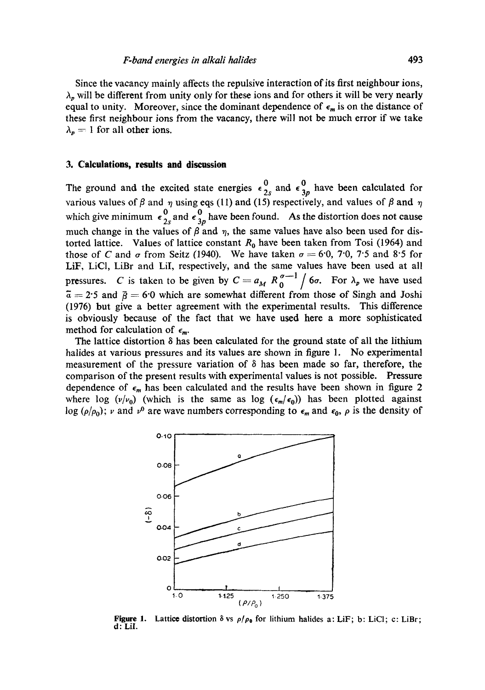Since the vacancy mainly affects the repulsive interaction of its first neighbour ions,  $\lambda_p$  will be different from unity only for these ions and for others it will be very nearly equal to unity. Moreover, since the dominant dependence of  $\epsilon_m$  is on the distance of these first neighbour ions from the vacancy, there will not be much error if we take  $\lambda_p = 1$  for all other ions.

## **3. Calculations, results and discussion**

The ground and the excited state energies  $\epsilon_{2s}^0$  and  $\epsilon_{3p}^0$  have been calculated for various values of  $\beta$  and  $\eta$  using eqs (11) and (15) respectively, and values of  $\beta$  and  $\eta$ which give minimum  $\epsilon_{2s}^0$  and  $\epsilon_{3p}^0$  have been found. As the distortion does not cause much change in the values of  $\beta$  and  $\eta$ , the same values have also been used for distorted lattice. Values of lattice constant  $R_0$  have been taken from Tosi (1964) and those of C and  $\sigma$  from Seitz (1940). We have taken  $\sigma = 6.0$ , 7.0, 7.5 and 8.5 for LiF, LiCI, LiBr and LiI, respectively, and the same values have been used at all pressures. C is taken to be given by  $C = a_M R_0^{\sigma-1} / 6\sigma$ . For  $\lambda_p$  we have used  $\overline{a} = 2.5$  and  $\overline{b} = 6.0$  which are somewhat different from those of Singh and Joshi (1976) but give a better agreement with the experimental results. This difference is obviously because of the fact that we have used here a more sophisticated method for calculation of  $\epsilon_m$ .

The lattice distortion  $\delta$  has been calculated for the ground state of all the lithium halides at various pressures and its values are shown in figure 1. No experimental measurement of the pressure variation of  $\delta$  has been made so far, therefore, the comparison of the present results with experimental values is not possible. Pressure dependence of  $\epsilon_m$  has been calculated and the results have been shown in figure 2 where log  $(v/v_0)$  (which is the same as log  $(\epsilon_m/\epsilon_0)$ ) has been plotted against log ( $\rho/\rho_0$ ); v and v<sup>0</sup> are wave numbers corresponding to  $\epsilon_m$  and  $\epsilon_0$ ,  $\rho$  is the density of



**Figure 1.** Lattice distortion  $\delta$  vs  $\rho/\rho_0$  for lithium halides a: LiF; b: LiCl; c: LiBr; d: LiI.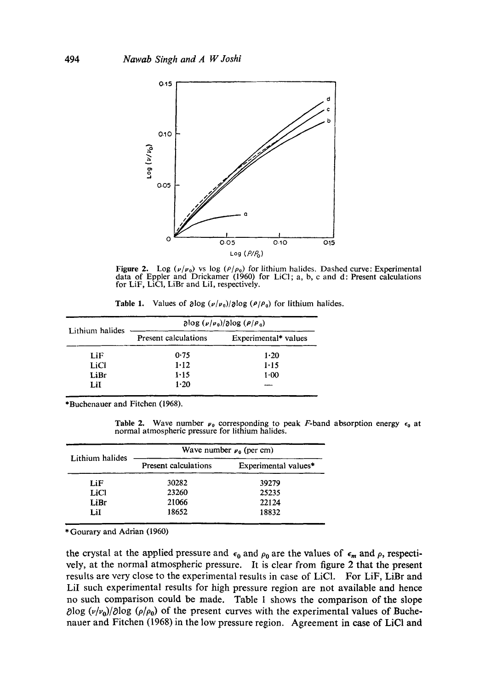

Figure 2. Log  $(\nu/\nu_0)$  vs log  $(\rho/\rho_0)$  for lithium halides. Dashed curve: Experimental data of Eppler and Drickamer (1960) for LiCl; a, b, c and d: Present calculations for LiF, LiCl, LiBr and LiI, respectively.

**Table 1.** Values of  $\partial \log (\nu/\nu_0)/\partial \log (\rho/\rho_0)$  for lithium halides.

| Lithium halides | $\partial \log (\nu/\nu_0)/\partial \log (\rho/\rho_0)$ |                      |
|-----------------|---------------------------------------------------------|----------------------|
|                 | Present calculations                                    | Experimental* values |
| LiF             | 0.75                                                    | 1.20                 |
| LiCl            | 1.12                                                    | $1 - 15$             |
| LiBr            | 1.15                                                    | $1 - 00$             |
| LiI             | 1.20                                                    |                      |

\*Buchenauer and Fitchen (1968).

Table 2. Wave number  $\nu_0$  corresponding to peak *F*-band absorption energy  $\epsilon_0$  at normal atmospheric pressure for lithium halides.

| Lithium halides | Wave number $\mu_0$ (per cm) |                      |
|-----------------|------------------------------|----------------------|
|                 | Present calculations         | Experimental values* |
| LiF             | 30282                        | 39279                |
| LiCl            | 23260                        | 25235                |
| LiBr            | 21066                        | 22124                |
| LiI             | 18652                        | 18832                |

\* Gourary and Adrian (1960)

the crystal at the applied pressure and  $\epsilon_0$  and  $\rho_0$  are the values of  $\epsilon_m$  and  $\rho$ , respectively, at the normal atmospheric pressure. It is clear from figure 2 that the present results are very close to the experimental results in case of LiC1. For LiF, LiBr and LiI such experimental results for high pressure region are not available and hence no such comparison could be made. Table 1 shows the comparison of the slope  $\partial \log (v/v_0)/\partial \log (p/\rho_0)$  of the present curves with the experimental values of Buchenauer and Fitchen (1968) in the low pressure region. Agreement in case of LiCI and